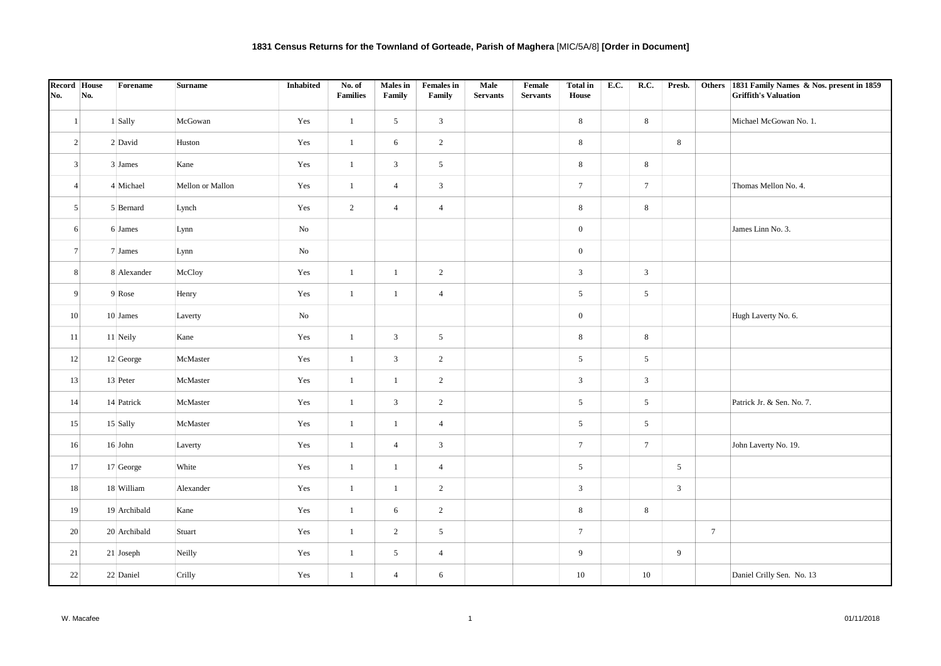| No. | Record House<br>No. | Forename     | <b>Surname</b>   | Inhabited | No. of<br><b>Families</b> | <b>Males</b> in<br>Family | <b>Females in</b><br>Family | Male<br><b>Servants</b> | Female<br><b>Servants</b> | Total in<br>House | <b>E.C.</b> | R.C.            | Presb.          |                 | Others 1831 Family Names & Nos. present in 1859<br><b>Griffith's Valuation</b> |
|-----|---------------------|--------------|------------------|-----------|---------------------------|---------------------------|-----------------------------|-------------------------|---------------------------|-------------------|-------------|-----------------|-----------------|-----------------|--------------------------------------------------------------------------------|
|     | $\mathbf{1}$        | 1 Sally      | McGowan          | Yes       | $\mathbf{1}$              | $5\overline{)}$           | $\mathbf{3}$                |                         |                           | $8\,$             |             | $8\,$           |                 |                 | Michael McGowan No. 1.                                                         |
|     | $\overline{2}$      | 2 David      | Huston           | Yes       | $\mathbf{1}$              | 6                         | $\overline{2}$              |                         |                           | $8\,$             |             |                 | 8               |                 |                                                                                |
|     | $\overline{3}$      | 3 James      | Kane             | Yes       | $\mathbf{1}$              | $\mathfrak{Z}$            | $5\overline{)}$             |                         |                           | $\,$ 8 $\,$       |             | 8               |                 |                 |                                                                                |
|     | $\vert$             | 4 Michael    | Mellon or Mallon | Yes       | $\mathbf{1}$              | $\overline{4}$            | $\mathfrak{Z}$              |                         |                           | $7\overline{ }$   |             | $7\overline{ }$ |                 |                 | Thomas Mellon No. 4.                                                           |
|     | 5 <sup>5</sup>      | 5 Bernard    | Lynch            | Yes       | $\overline{2}$            | $\overline{4}$            | $\overline{4}$              |                         |                           | 8                 |             | 8               |                 |                 |                                                                                |
|     | 6                   | 6 James      | Lynn             | No        |                           |                           |                             |                         |                           | $\mathbf{0}$      |             |                 |                 |                 | James Linn No. 3.                                                              |
|     | $7\overline{ }$     | 7 James      | Lynn             | No        |                           |                           |                             |                         |                           | $\boldsymbol{0}$  |             |                 |                 |                 |                                                                                |
|     | 8                   | 8 Alexander  | McCloy           | Yes       | $\mathbf{1}$              | $\mathbf{1}$              | $\overline{2}$              |                         |                           | $\mathfrak{Z}$    |             | $\mathfrak{Z}$  |                 |                 |                                                                                |
|     | 9                   | 9 Rose       | Henry            | Yes       | $\mathbf{1}$              | $\mathbf{1}$              | $\overline{4}$              |                         |                           | $5\overline{)}$   |             | $5\overline{)}$ |                 |                 |                                                                                |
|     | 10                  | 10 James     | Laverty          | No        |                           |                           |                             |                         |                           | $\overline{0}$    |             |                 |                 |                 | Hugh Laverty No. 6.                                                            |
|     | 11                  | 11 Neily     | Kane             | Yes       | $\mathbf{1}$              | $\mathbf{3}$              | 5 <sup>5</sup>              |                         |                           | 8                 |             | 8               |                 |                 |                                                                                |
|     | 12                  | 12 George    | McMaster         | Yes       | $\mathbf{1}$              | $\mathfrak{Z}$            | $\overline{2}$              |                         |                           | $\mathfrak{S}$    |             | $\sqrt{5}$      |                 |                 |                                                                                |
|     | 13                  | 13 Peter     | McMaster         | Yes       | $\mathbf{1}$              | $\mathbf{1}$              | $\overline{2}$              |                         |                           | $\mathfrak{Z}$    |             | $\mathfrak{Z}$  |                 |                 |                                                                                |
|     | 14                  | 14 Patrick   | McMaster         | Yes       | $\mathbf{1}$              | $\mathfrak{Z}$            | $\overline{2}$              |                         |                           | $5\overline{)}$   |             | $5\overline{)}$ |                 |                 | Patrick Jr. & Sen. No. 7.                                                      |
|     | 15                  | 15 Sally     | McMaster         | Yes       | $\mathbf{1}$              | $\mathbf{1}$              | $\overline{4}$              |                         |                           | $5\overline{)}$   |             | $5\overline{)}$ |                 |                 |                                                                                |
|     | 16                  | $16$ John    | Laverty          | Yes       | $\mathbf{1}$              | $\overline{4}$            | $\mathfrak{Z}$              |                         |                           | $7\overline{ }$   |             | $7\phantom{.0}$ |                 |                 | John Laverty No. 19.                                                           |
|     | 17                  | 17 George    | White            | Yes       | $\mathbf{1}$              | $\mathbf{1}$              | $\overline{4}$              |                         |                           | $5\overline{)}$   |             |                 | $5\overline{)}$ |                 |                                                                                |
|     | 18                  | 18 William   | Alexander        | Yes       | $\mathbf{1}$              | $\mathbf{1}$              | $\overline{2}$              |                         |                           | $\mathfrak{Z}$    |             |                 | 3               |                 |                                                                                |
|     | 19                  | 19 Archibald | Kane             | Yes       | $\mathbf{1}$              | 6                         | $\overline{2}$              |                         |                           | $\,$ 8 $\,$       |             | $8\,$           |                 |                 |                                                                                |
|     | 20                  | 20 Archibald | Stuart           | Yes       | $\mathbf{1}$              | $\overline{2}$            | $5\overline{)}$             |                         |                           | $7\phantom{.0}$   |             |                 |                 | $7\overline{ }$ |                                                                                |
|     | 21                  | 21 Joseph    | Neilly           | Yes       | $\mathbf{1}$              | $5\overline{)}$           | $\overline{4}$              |                         |                           | 9                 |             |                 | 9               |                 |                                                                                |
|     | 22                  | 22 Daniel    | Crilly           | Yes       | $\mathbf{1}$              | $\overline{4}$            | 6                           |                         |                           | 10                |             | 10              |                 |                 | Daniel Crilly Sen. No. 13                                                      |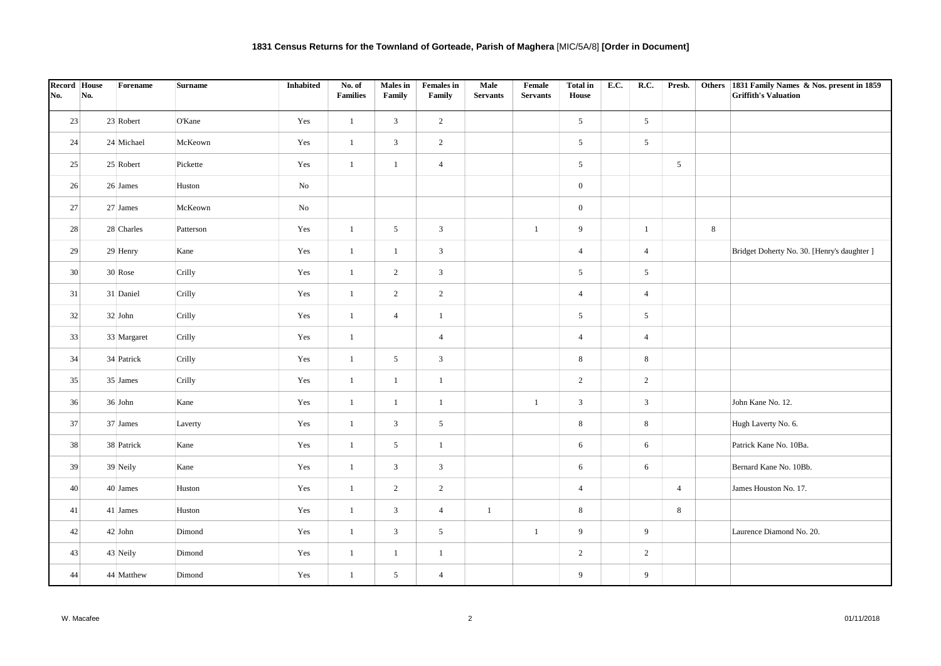| Record House<br>No. | No. | Forename    | <b>Surname</b> | Inhabited | No. of<br><b>Families</b> | <b>Males</b> in<br>Family | <b>Females in</b><br>Family | Male<br><b>Servants</b> | Female<br><b>Servants</b> | <b>Total in</b><br>House | <b>E.C.</b> | R.C.            | Presb.         |   | Others 1831 Family Names & Nos. present in 1859<br><b>Griffith's Valuation</b> |
|---------------------|-----|-------------|----------------|-----------|---------------------------|---------------------------|-----------------------------|-------------------------|---------------------------|--------------------------|-------------|-----------------|----------------|---|--------------------------------------------------------------------------------|
|                     |     |             |                |           |                           |                           |                             |                         |                           |                          |             |                 |                |   |                                                                                |
| 23                  |     | 23 Robert   | O'Kane         | Yes       | $\mathbf{1}$              | 3                         | $\overline{2}$              |                         |                           | $5\overline{)}$          |             | 5 <sup>5</sup>  |                |   |                                                                                |
| 24                  |     | 24 Michael  | McKeown        | Yes       | $\mathbf{1}$              | $\mathbf{3}$              | $\overline{2}$              |                         |                           | $5\overline{)}$          |             | $5\overline{)}$ |                |   |                                                                                |
| 25                  |     | 25 Robert   | Pickette       | Yes       | $\mathbf{1}$              | $\mathbf{1}$              | $\overline{4}$              |                         |                           | 5                        |             |                 | 5              |   |                                                                                |
| 26                  |     | 26 James    | Huston         | No        |                           |                           |                             |                         |                           | $\overline{0}$           |             |                 |                |   |                                                                                |
| 27                  |     | 27 James    | McKeown        | No        |                           |                           |                             |                         |                           | $\overline{0}$           |             |                 |                |   |                                                                                |
| 28                  |     | 28 Charles  | Patterson      | Yes       | $\mathbf{1}$              | 5 <sup>5</sup>            | $\mathbf{3}$                |                         | $\mathbf{1}$              | 9                        |             | $\mathbf{1}$    |                | 8 |                                                                                |
| 29                  |     | 29 Henry    | Kane           | Yes       | $\mathbf{1}$              | $\mathbf{1}$              | $\mathfrak{Z}$              |                         |                           | $\overline{4}$           |             | $\overline{4}$  |                |   | Bridget Doherty No. 30. [Henry's daughter ]                                    |
| 30                  |     | 30 Rose     | Crilly         | Yes       | $\mathbf{1}$              | $\overline{2}$            | $\mathbf{3}$                |                         |                           | $5\overline{)}$          |             | $5\overline{)}$ |                |   |                                                                                |
| 31                  |     | 31 Daniel   | Crilly         | Yes       | $\mathbf{1}$              | $\overline{2}$            | $\overline{2}$              |                         |                           | $\overline{4}$           |             | $\overline{4}$  |                |   |                                                                                |
| 32                  |     | $32$ John   | Crilly         | Yes       | $\mathbf{1}$              | $\overline{4}$            | -1                          |                         |                           | $5\overline{)}$          |             | $5\overline{)}$ |                |   |                                                                                |
| 33                  |     | 33 Margaret | Crilly         | Yes       | $\mathbf{1}$              |                           | $\overline{4}$              |                         |                           | $\overline{4}$           |             | $\overline{4}$  |                |   |                                                                                |
| $34\,$              |     | 34 Patrick  | Crilly         | Yes       | $\mathbf{1}$              | 5 <sup>5</sup>            | $\mathfrak{Z}$              |                         |                           | $\,$ 8 $\,$              |             | 8               |                |   |                                                                                |
| 35                  |     | 35 James    | Crilly         | Yes       | $\mathbf{1}$              | $\mathbf{1}$              | $\mathbf{1}$                |                         |                           | $\overline{2}$           |             | $\overline{2}$  |                |   |                                                                                |
| 36                  |     | 36 John     | Kane           | Yes       | $\mathbf{1}$              | $\mathbf{1}$              | $\mathbf{1}$                |                         | $\mathbf{1}$              | $\mathbf{3}$             |             | $\mathfrak{Z}$  |                |   | John Kane No. 12.                                                              |
| 37                  |     | 37 James    | Laverty        | Yes       | $\mathbf{1}$              | $\mathbf{3}$              | 5 <sub>5</sub>              |                         |                           | 8                        |             | 8               |                |   | Hugh Laverty No. 6.                                                            |
| 38                  |     | 38 Patrick  | Kane           | Yes       | $\mathbf{1}$              | 5 <sup>5</sup>            | $\mathbf{1}$                |                         |                           | 6                        |             | 6               |                |   | Patrick Kane No. 10Ba.                                                         |
| 39                  |     | 39 Neily    | Kane           | Yes       | $\mathbf{1}$              | $\mathfrak{Z}$            | $\mathfrak{Z}$              |                         |                           | 6                        |             | 6               |                |   | Bernard Kane No. 10Bb.                                                         |
| 40 <sup>°</sup>     |     | 40 James    | Huston         | Yes       | $\mathbf{1}$              | $\overline{2}$            | $\overline{2}$              |                         |                           | $\overline{4}$           |             |                 | $\overline{4}$ |   | James Houston No. 17.                                                          |
| 41                  |     | 41 James    | Huston         | Yes       | $\mathbf{1}$              | $\mathfrak{Z}$            | $\overline{4}$              | $\mathbf{1}$            |                           | 8                        |             |                 | 8              |   |                                                                                |
| 42                  |     | $42$ John   | Dimond         | Yes       | $\mathbf{1}$              | $\mathbf{3}$              | $5\overline{)}$             |                         | $\mathbf{1}$              | 9                        |             | 9               |                |   | Laurence Diamond No. 20.                                                       |
| 43                  |     | 43 Neily    | Dimond         | Yes       | $\mathbf{1}$              | $\mathbf{1}$              | $\mathbf{1}$                |                         |                           | 2                        |             | $\overline{2}$  |                |   |                                                                                |
| 44                  |     | 44 Matthew  | Dimond         | Yes       | $\mathbf{1}$              | 5                         | $\overline{4}$              |                         |                           | 9                        |             | 9               |                |   |                                                                                |